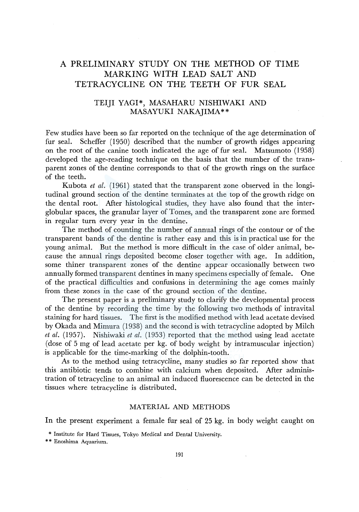# A PRELIMINARY STUDY ON THE METHOD OF TIME MARKING WITH LEAD SALT AND TETRACYCLINE ON THE TEETH OF FUR SEAL

## TEIJI YAGI\*, MASAHARU NISHIWAKI AND MASAYUKI NAKAJIMA\*\*

Few studies have been so far reported on the technique of the age determination of fur seal. Scheffer (1950) described that the number of growth ridges appearing on the root of the canine tooth indicated the age of fur seal. Matsumoto (1958) developed the age-reading technique on the basis that the number of the transparent zones of the dentine corresponds to that of the growth rings on the surface of the teeth.

Kubota *et al.* (1961) stated that the transparent zone observed in the longitudinal ground section of the dentine terminates at the top of the growth ridge on the dental root. After histological studies, they have also found that the interglobular spaces, the granular layer of Tomes, and the transparent zone are formed in regular turn every year in the dentine.

The method of counting the number of annual rings of the contour or of the transparent bands of the dentine is rather easy and this is in practical use for the young animal. But the method is more difficult in the case of older animal, because the annual rings deposited become closer together with age. In addition, some thiner transparent zones of the dentine appear occasionally between two annually formed transparent dentines in many specimens especially of female. One of the practical difficulties and confusions in determining the age comes mainly from these zones in the case of the ground section of the dentine.

The present paper is a preliminary study to clarify the developmental process of the dentine by recording the time by the following two methods of intravital staining for hard tissues. The first is the modified method with lead acetate devised by Okada and Mimura (1938) and the second is with tetracycline adopted by Milch *et al.* (1957). Nishiwaki *et al.* (1953) reported that the method using lead acetate (dose of 5 mg of lead acetate per kg. of body weight by intramuscular injection) is applicable for the time-marking of the dolphin-tooth.

As to the method using tetracycline, many studies so far reported show that this antibiotic tends to combine with calcium when deposited. After administration of tetracycline to an animal an induced fluorescence can be detected in the tissues where tetracycline is distributed.

## MATERIAL AND METHODS

In the present experiment a female fur seal of 25 kg. in body weight caught on

\* \* Enoshima Aquarium.

<sup>\*</sup> Institute for Hard Tissues, Tokyo Medical and Dental University.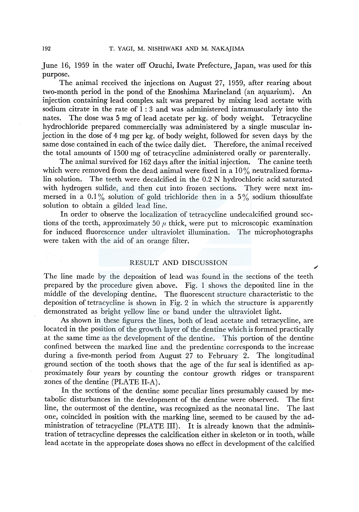June 16, 1959 in the water off Ozuchi, Iwate Prefecture, Japan, was used for this purpose.

The animal received the injections on August 27, 1959, after rearing about two-month period in the pond of the Enoshima Marineland (an aquarium). An injection containing lead complex salt was prepared by mixing lead acetate with sodium citrate in the rate of 1 : 3 and was administered intramuscularly into the nates. The dose was 5 mg of lead acetate per kg. of body weight. Tetracycline hydrochloride prepared commercially was administered by a single muscular injection in the dose of 4 mg per kg. of body weight, followed for seven days by the same dose contained in each of the twice daily diet. Therefore, the animal received the total amounts of 1500 mg of tetracycline administered orally or parenterally.

The animal survived for 162 days after the initial injection. The canine teeth which were removed from the dead animal were fixed in a  $10\%$  neutralized formalin solution. The teeth were decalcified in the 0.2 N hydrochloric acid saturated with hydrogen sulfide, and then cut into frozen sections. They were next immersed in a 0.1% solution of gold trichloride then in a 5% sodium thiosulfate solution to obtain a gilded lead line.

In order to observe the localization of tetracycline undecalcified ground sections of the teeth, approximately 50  $\mu$  thick, were put to microscopic examination for induced fluorescence under ultraviolet illumination. The microphotographs were taken with the aid of an orange filter.

### RESULT AND DISCUSSION

The line made by the deposition of lead was found in the sections of the teeth prepared by the procedure given above. Fig. 1 shows the deposited line in the middle of the developing dentine. The fluorescent structure characteristic to the deposition of tetracycline is shown in Fig. 2 in which the structure is apparently demonstrated as bright yellow line or band under the ultraviolet light.

As shown in these figures the lines, both of lead acetate and tetracycline, are located in the position of the growth layer of the dentine which is formed practically at the same time as the development of the dentine. This portion of the dentine confined between the marked line and the predentine corresponds to the increase during a five-month period from August 27 to February 2. The longitudinal ground section of the tooth shows that the age of the fur seal is identified as approximately four years by counting the contour growth ridges or transparent zones of the dentine (PLATE II-A).

In the sections of the dentine some peculiar lines presumably caused by metabolic disturbances in the development of the dentine were observed. The first line, the outermost of the dentine, was recognized as the neonatal line. The last one, coincided in position with the marking line, seemed to be caused by the administration of tetracycline (PLATE III). It is already known that the administration of tetracycline depresses the calcification either in skeleton or in tooth, while lead acetate in the appropriate doses shows no effect in development of the calcified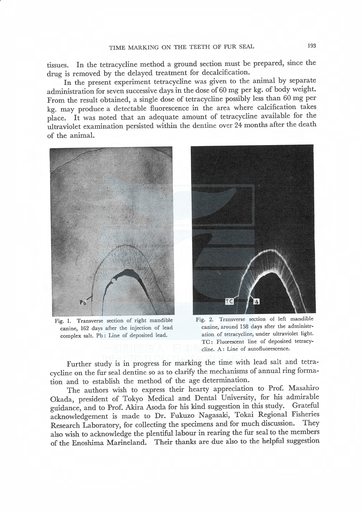tissues. In the tetracycline method a ground section must be prepared, since the drug is removed by the delayed treatment for decalcification.

In the present experiment tetracycline was given to the animal by separate administration for seven successive days in the dose of 60 mg per kg. of body weight. From the result obtained, a single dose of tetracycline possibly less than 60 mg per kg. may produce a detectable fluorescence in the area where calcification takes place. It was noted that an adequate amount of tetracycline available for the ultraviolet examination persisted within the dentine over 24 months after the death of the animal.



Fig. I. Transverse section of right mandible canine, 162 days after the injection of lead complex salt. Pb: Line of deposited lead.



Fig. 2. Transverse section of left mandible canine, around 158 days sfter the administration of tetracycline, under ultraviolet light. TC: Fluorescent line of deposited tetracycline. A: Line of autofluorescence.

Further study is in progress for marking the time with lead salt and tetracycline on the fur seal dentine so as to clarify the mechanisms of annual ring formation and to establish the method of the age determination.

The authors wish to express their hearty appreciation to Prof. Masahiro Okada, president of Tokyo Medical and Dental University, for his admirable guidance, and to Prof. Akira Asoda for his kind suggestion in this study. Grateful acknowledgement is made to Dr. Fukuzo Nagasaki, Tokai Regional Fisheries Research Laboratory, for collecting the specimens and for much discussion. also wish to acknowledge the plentiful labour in rearing the fur seal to the members of the Enoshima Marineland. Their thanks are due also to the helpful suggestion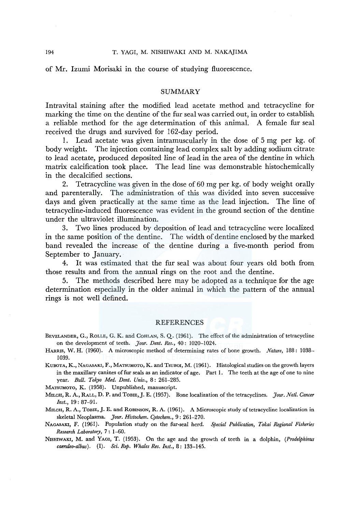of Mr. Izumi Morisaki in the course of studying fluorescence.

## **SUMMARY**

Intravital stammg after the modified lead acetate method and tetracycline for marking the time on the dentine of the fur seal was carried out, in order to establish a reliable method for the age determination of this animal. A female fur seal received the drugs and survived for 162-day period.

1. Lead acetate was given intramuscularly in the dose of 5 mg per kg. of body weight. The injection containing lead complex salt by adding sodium citrate to lead acetate, produced deposited line of lead in the area of the dentine in which matrix calcification took place. The lead line was demonstrable histochemically in the decalcified sections.

2. Tetracycline was given in the dose of 60 mg per kg. of body weight orally and parenterally. The administration of this was divided into seven successive days and given practically at the same time as the lead injection. The line of tetracycline-induced fluorescence was evident in the ground section of the dentine under the ultraviolet illumination.

3. Two lines produced by deposition of lead and tetracycline were localized in the same position of the dentine. The width of dentine enclosed by the marked band revealed the increase of the dentine during a five-month period from September to January.

4. It was estimated that the fur seal was about four years old both from those results and from the annual rings on the root and the dentine.

5. The methods described here may be adopted as a technique for the age determination especially in the older animal in which the pattern of the annual rings is not well defined.

#### REFERENCES

- BEVELANDER, G., RoLLE, G. K. and CoHLAN, S. Q. (1961). The effect of the administration of tetracycline on the development of teeth. *]our. Dent. Res.,* 40: 1020-1024.
- HARRIS, W. H. (1960). A microscopic method of determining rates of bone growth. *Nature,* 188: 1038- 1039.
- KUBOTA, K., NAGASAKI, F., MATSUMOTO, K. and TsuBOI, M. (1961). Histological studies on the growth layers in the maxillary canines of fur seals as an indicator of age. Part 1. The teeth at the age of one to nine year. *Bull. Tokyo Med. Dent. Univ.,* 8: 261-285.

MATSUMOTO, K. (1958). Unpublished, manuscript.

MILCH, R. A., RALL, D. P. and TOBIE,]. E. (1957). Bone localization of the tetracyclines. *]our. Natl. Cancer Inst.,* 19: 87-91.

MILCH, R. A., TOBIE, J. E. and ROBINSON, R. A. (1961). A Microscopic study of tetracycline localization in skeletal Neoplasma. *]our. Histochem. Cytochem.,* 9: 261-270.

NAGASAKI, F. (1961). Population study on the fur-seal herd. *Special Publication, Tokai Regional Fisheries Research Laboratory,* 7: 1-60.

NISHIWAKI, M. and YAGI, T. (1953). On the age and the growth of teeth in a dolphin, *(Prodelphinus caeruleo-albus).* (I). *Sci. Rep. Whales Res. Inst.,* 8: 133-145.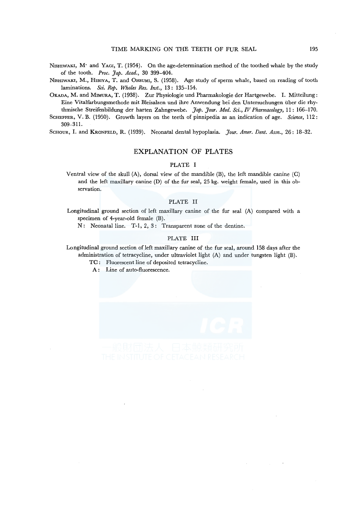- NISHIWAKI, M<sup>·</sup> and YAGI, T. (1954). On the age-determination method of the toothed whale by the study of the tooth. *Proc. Jap. Acad.,* 30 399-404.
- NrsmwAKr, M., HrnrvA, T. and 0HSUMI, S. (1958). Age study of sperm whale, based on reading of tooth laminations. *Sci. Rep. Whales Res. Inst.,* 13: 135-154.
- OKADA, M. and MIMURA, T. (1938). Zur Physiologie und Pharmakologie der Hartgewebe. I. Mitteilung: Eine Vitalfarbungsmethode mit Bleisalzen und ihre Anwendung bei den Untersuchungen itber die rhythmische Streifenbildung der harten Zahngewebe. *Jap. Jour. Med. Sci., IV Pharmacology*, 11: 166-170.
- SCHEFFER, V. B. (1950). Growth layers on the teeth of pinnipedia as an indication of age. *Science,* 112: 309-311.
- ScHOUR, I. and KRONFELD, R. (1939). Neonatal dental hypoplasia. *]our. Amer. Dent. Assn.,* 26: 18-32.

#### EXPLANATION OF PLATES

#### PLATE I

Ventral view of the skull (A), dorsal view of the mandible (B), the left mandible canine (C) and the left maxillary canine (D) of the fur seal, 25 kg. weight female, used in this observation.

#### PLATE II

Longitudinal ground section of left maxillary canine of the fur seal (A) compared with a specimen of 4-year-old female (B).

N: Neonatal line. T-1, 2, 3: Transparent zone of the dentine.

#### PLATE III

Longitudinal ground section of left maxillary canine of the fur seal, around 158 days after the administration of tetracycline, under ultraviolet light (A) and under tungsten light (B).

- TC : Fluorescent line of deposited tetracycline.
- A: Line of auto-fluorescence.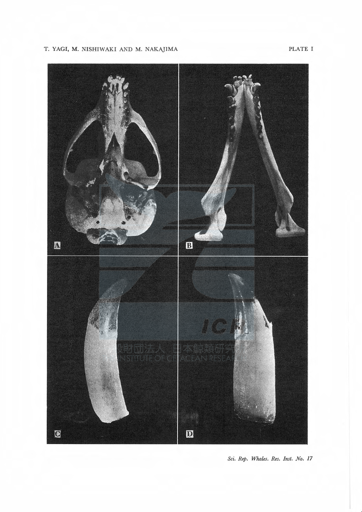# T. YAGI, M. NISHIWAKI AND M. NAKAJIMA PLATE I



Sci. Rep. Whales. Res. Inst. No. 17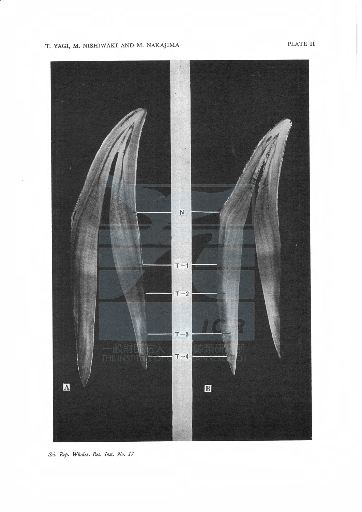# T. YAGI, M. NISHIWAKI AND M. NAKAJIMA PLATE II



Sci. Rep. Whales. Res. Inst. No. 17